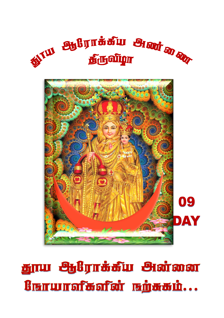



<u>தூய ஆரோக்கீய அன்னை</u> Burwrofbofor undbon...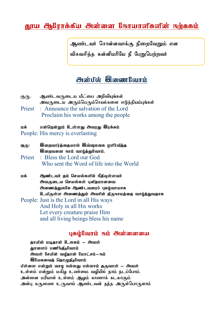## கூரய  $R$ நிராக்கீய அின்னை கோயாவிகவின் நற்ககம்

ஆண்டவர் சொன்னவாக்கு நிறைவேறும் என விசுவசிக்க கன்னிமரியே நீ பேறுபெற்றவர்

## *Maitid* **Qamorfami**

- குரு: ஆண்டவருடைய மீட்பை அறிவியுங்கள் அவருடைய அரும்பெரும்செயல்களை எடுத்தியம்பங்கள்
- Priest : Announce the salvation of the Lord Proclaim his works among the people

மக் என்றென்றும் உள்ளது அவரது இரக்கம்

- People: His mercy is everlasting
- குரு: இறைவார்த்தையால் இவ்வுலகை ஒளி்வீத்த **இறைவனை நாம் வாழ்த்துவோம்.** Priest : Bless the Lord our God

Who sent the Word of life into the World

kf; Mz;lth; jk; nray;fspy; ePjpAs;sth; அவருடைய செயல்கள் புவிதமானவை அணைத்துல8சு ஆண்டவரைப் புகழ்வாயாக உயிருள்ள அணைத்தும் அவரின் திருநாமத்தை வாழ்த்துவதாக

People: Just is the Lord in all His ways And Holy in all His works Let every creature praise Him and all living beings bless his name

## uthighauth rain **Andramana**

தாயின் மடிதான் உலகம் – அவள் காளைப் பணிக்கீகிலாம் அவள் சேயின் வழிதான் மோட்சம்**–**ஙம் **Q**ilwaman<del>i</del> Narpanishilami பிள்ளை என்றும் வாழ நல்லது எல்லாம் துருவாள் – <del>அ</del>வள் உள்ளம் என்றும் மகிழ உண்மை வழியில் நாம் நடப்போம். அன்னை மரியாள் உள்ளம் ஆழம் காணாக் கடலாகும் அன்பு கருணை உருவாய் ஆண்டவன் தந்த அருள்பொருளாம்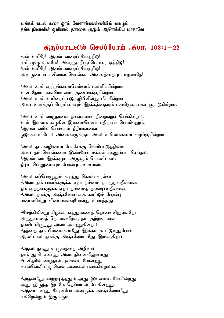வங்கக் கடல் கரை ஒரம் வேளாங்கண்ணியில் வாழும் தங்க நிலாவின் ஒளியால் தாரகை சூடும் ஆரோக்கிய மாதாவே

## jpUg;ghlypy; nrgpg;Nghk; .jpgh. 103:1-22

 $1$ என் உயிரே! ஆண்டவரைப் போற்றிடு! என் முழு உளமே! அவரது திருப்பெயரை ஏத்திடு! ீஎன் உயிரே! ஆண்டவரைப் போற்றிடு! அவருடைய கனிவான செயல்கள் அனைத்தையும் மறவாதே!

 $3$ அவர் உன் குற்றங்களையெல்லாம் மன்னிக்கின்றார். உன் நோய்களையெல்லாம் குணமாக்குகின்றார்.  $4$ அவர் உன் உயிரைப் படுகுழியினின்று மீட்கின்றார். அவர் உனக்குப் பேரன்பையும் இரக்கத்தையும் மணிமுடியாகச் குட்டுகின்றார்.

<sup>5</sup>அவர் உன் வாழ்நாளை நலன்களால் நிறைவுறச் செய்கின்றார். உள் இளமை கமுகின் இளமையெனப் புதிதாய்ப் பொலிவுறும். ீஆண்டவரின் செயல்கள் நீதியானவை։ ஒடுக்கப்பட்டோர் அனைவருக்கும் அவர் உரிமைகளை வழங்குகின்றார்.

7அவர் தம் வழிகளை மோசேக்கு வெளிப்படுத்தினார். அவர் தம் செயல்களை இஸ்ரயேல் மக்கள் காணும்படி செய்தார். ீஆண்டவர் இரக்கமும் அருளும் கொண்டவர். நீடிய பொறுமையும் பேரன்பும் உள்ளவர்.

ீஅவர் எப்பொழுதும் கடிந்து கொள்பவரல்லர்.  $^{10}$ அவர் நம் பாவங்களுக்க ஏற்ப நம்மை நடத்துவதில்லை. நம் குற்றங்களுக்க ஏற்ப நம்மைத் தண்டிப்பதில்லை.  $^{11}$ அவர் தமக்கு அஞ்சுவோர்க்குக் காட்டும் பேரன்பு <u>மண்ணின்று</u> விண்ணளவுபோன்று உயர்ந்<u>தக</u>ு.

 $^{12}$ மேற்கினின்று கிழக்கு எத்துணைத் தொலைவிலுள்ளதோ, அத்துணைத் தொலைவிற்கு நம் குற்றங்களை நம்மிடமிருந்து அவர் அகற்றுகின்றார்.  $^{13}$ தந்தை தம் பிள்ளைகள்மீது இரக்கம் காட்டுவதுபோல் அண்டவர் தமக்கு அஞ்சுவோர் மீது இரங்குகிறார்.

 $14$ ஆவர் நமது உருவத்தை அறிவார். நாம் தூசி என்பது அவர் நினைவிலுள்ளது. <sup>15</sup>மனிதரின் வாழ்நாள் புல்லைப் போன்றது. வயல்வெளிப் பு வென அவர்கள் மலர்கின்றார்கள்.

 $^{16}$ அதன்மீது காற்றடித்ததும் அது இல்லாமல் போகின்றது. அது இருந்த இடமே தெரியாமல் போகின்றது.  $^{17}$ ஆண்டவரது பேரன்போ அவருக்க அஞ்சுவோர்மீது என்றென்றும் இருக்கும்.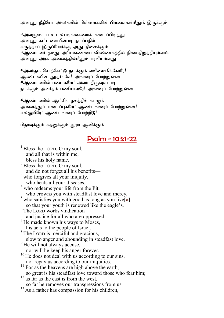அவரது நீதியோ அவர்களின் பிள்ளைகளின் பிள்ளைகள்மீதும் இருக்கும்.

 $^{18}$ அவருடைய உடன்படிக்கையைக் கடைப்பிடித்து அவரது கட்டளையின்படி நடப்பதில் கருத்தாய் இருப்போர்க்கு அது நிலைக்கும்.  $^{19}$ ஆண்டவர் தமது அரியணையை விண்ணகத்தில் நிலைநிறுத்தியுள்ளார்: அவரது அரசு அனைத்தின்மீதும் பரவியுள்ளது.

 $^{20}$ அவர்தம் சொற்கேட்டு நடக்கும் வலிமைமிக்கோரே! ஆண்டவரின் தூதர்களே! அவரைப் போற்றுங்கள்.  $^{21}$ ஆண்டவரின் படைகளே! அவர் திருவுளப்படி நடக்கும் அவர்கம் பணியாளரே! அவரைப் போற்றுங்கள்.

 $^{22}$ ஆண்டவரின் ஆட்சிக் தலத்தில் வாழும் அனைத்துப் படைப்புகளே! ஆண்டவரைப் போற்றுங்கள்! என்னுயிரே! ஆண்டவரைப் போற்றிடு!

பிதாவுக்கும் சுதனுக்கும் தூய ஆவிக்கும் ...

## Psalm - 103:1-22

 $<sup>1</sup>$  Bless the LORD, O my soul,</sup> and all that is within me, bless his holy name.  $2$  Bless the LORD, O my soul, and do not forget all his benefits— $\frac{3}{3}$  who forgives all your iniquity, who heals all your diseases, <sup>4</sup> who redeems your life from the Pit. who crowns you with steadfast love and mercy,  $5$  who satisfies you with good as long as you live[[a\]](https://www.biblegateway.com/passage/?search=Psalm+103%3A1-22&version=NRSV#fen-NRSV-15555a) so that your youth is renewed like the eagle's.  $6$  The LORD works vindication and justice for all who are oppressed.  $<sup>7</sup>$  He made known his ways to Moses,</sup> his acts to the people of Israel.  $8$  The LORD is merciful and gracious, slow to anger and abounding in steadfast love. <sup>9</sup> He will not always accuse, nor will he keep his anger forever.  $10$  He does not deal with us according to our sins, nor repay us according to our iniquities. <sup>11</sup> For as the heavens are high above the earth, so great is his steadfast love toward those who fear him;  $\frac{12}{\text{as}}$  far as the east is from the west, so far he removes our transgressions from us.  $13$  As a father has compassion for his children,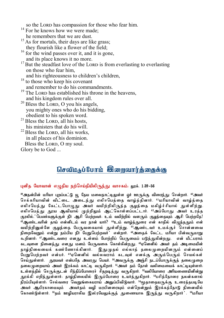so the LORD has compassion for those who fear him.

- <sup>14</sup> For he knows how we were made;
- he remembers that we are dust.
- <sup>15</sup> As for mortals, their days are like grass; they flourish like a flower of the field;
- $16$  for the wind passes over it, and it is gone, and its place knows it no more.
- $17$  But the steadfast love of the LORD is from everlasting to everlasting on those who fear him,
	- and his righteousness to children's children,
- <sup>18</sup> to those who keep his covenant and remember to do his commandments.
- <sup>19</sup> The LORD has established his throne in the heavens, and his kingdom rules over all.
- <sup>20</sup> Bless the LORD, O you his angels, you mighty ones who do his bidding, obedient to his spoken word.
- $21$  Bless the LORD, all his hosts, his ministers that do his will.
- $^{22}$  Bless the LORD, all his works, in all places of his dominion. Bless the LORD, O my soul.

Glory be to God ...

# $\Omega$ சவீமருப் $\ell$ பாம்  $\Theta$ ரைவார்த்தைக்கு

#### புனித யோவான் எழுதிய நற்செய்தியிலிருந்து வாசகம்: லூக். 1:39-56

<sup>39</sup>அதன்பின் மரியா புறப்பட்டு யு தேய மலைநாட்டிலுள்ள வர் ஊருக்கு விரைந்து சென்றார். <sup>40</sup>அவர் செக்கரியாவின் வீட்டை அடைந்து எலிசபெத்தை வாழ்த்தினார். <sup>41</sup>மரியாவின் வாழ்த்தை எலிசபெத்து கேட்டபொழுது அவர் வயிற்றிலிருந்த குழந்தை மகிழ்ச்சியால் துள்ளிற்று. எலிசபெக்கு தூய ஆவியால் முற்றிலும் ஆட்கொள்ளப்பட்டார். <sup>42</sup>அப்போது அவர் உரக்க குரலில், பெண்களுக்குள் நீர் ஆசி பெற்றவர். உம் வயிற்றில் வளரும் குழந்தையும் ஆசி பெற்றதே!  $^{43}$ ஆண்டவரின் தாய் என்னிடம் வர நான் யார்?  $^{44}$ உம் வாம்த்துரை என் காதில் விமுந்ததும் என் வயிற்றினுள்ளே குழந்தை பேருவகையால் துள்ளிற்று. <sup>45</sup>ஆண்டவர் உமக்குச் சொன்னவை நிறைவேறும் என்று நம்பிய நீர் பேறுபெற்றவர்: என்றார். <sup>46</sup>அதைக் கேட்ட மரியா பின்வருமாறு கூறினார்: <sup>47</sup>ஆண்டவரை எனது உள்ளம் போற்றிப் பெருமைப் படுத்துகின்றது. என் மீட்பராம் கடவுளை நினைத்து எனது மனம் பேருவகை கொள்கின்றது. <sup>48</sup>ஏனெனில் அவர் தம் அடிமையின் காம்நிலையைக் கண்ணோக்கினார். இதுமுகல் எல்லாக் கலைமுறையினரும் என்னைப் பேறுபெற்றவர் என்பர்.  $^{49}$ ஏனெனில் வல்லவராம் கடவுள் எனக்கு அரும்பெரும் செயல்கள் செய்துள்ளார். தூயவர் என்பதே அவரது பெயர். <sup>50</sup>அவருக்கு அஞ்சி நடப்போருக்குத் தலைமுறை தலை(மறையாய் அவர் இரக்கம் காட்டி வருகிறார். <sup>51</sup>அவர் தம் தோள் வலிமையைக் காட்டியுள்ளார். உள்ளத்தில் செருக்குடன் சிந்திப்போரைச் சிதறடித்து வருகிறார். <sup>52</sup>வலியோரை அரியணையினின்று தூக்கி எறிந்துள்ளார். தாழ்நிலையில் இருப்போரை உயர்த்துகிறார். <sup>53</sup>பசித்தோரை நலன்களால் நிரப்பியுள்ளார். செல்வரை வெறுங்கையராய் அனுப்பிவிடுவார். <sup>54</sup>மூதாதையருக்கு உரைத்தபடியே அவர் ஆபிரகாமையும் அவர்தம் வழி மரபினரையும் என்றென்றும் இரக்கத்தோடு நினைவில் கொண்டுள்ளார். <sup>55</sup>தம் ஊழியராகிய இஸ்ரயேலுக்குத் துணையாக இருந்து வருகிறார் . <sup>56</sup>மரியா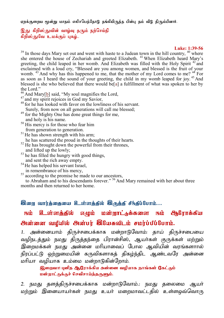எறக்குறைய மூன்று மாகம் எலிசபெக்கோடு கங்கியிருந்த பின்ப கம் வீடு கிரும்பினார்.

#### இது கிறிஸ்துவின் வாழ்வு தரும் நற்செய்தி நிிஸ்குநேட உமக்குப் பகம்..

#### **Luke: 1:39-56**

 $39$  In those days Mary set out and went with haste to a Judean town in the hill country,  $40^{\circ}$  where she entered the house of Zechariah and greeted Elizabeth. <sup>41</sup>When Elizabeth heard Mary's greeting, the child leaped in her womb. And Elizabeth was filled with the Holy Spirit  $42$  and exclaimed with a loud cry, "Blessed are you among women, and blessed is the fruit of your womb.  $^{43}$  And why has this happened to me, that the mother of my Lord comes to me?  $^{44}_{\dots}$  For as soon as I heard the sound of your greeting, the child in my womb leaped for joy.<sup>45</sup> And blessed is she who believed that there would be[[a\]](https://www.biblegateway.com/passage/?search=Luke+1%3A39-56&version=NRSV#fen-NRSV-24931a) a fulfillment of what was spoken to her by the Lord."

- <sup>46</sup> And Mary $[\underline{b}]$  said, "My soul magnifies the Lord,
- $^{47}$  and my spirit rejoices in God my Savior,
- <sup>48</sup> for he has looked with favor on the lowliness of his servant. Surely, from now on all generations will call me blessed;
- <sup>49</sup> for the Mighty One has done great things for me, and holy is his name.
- $50$  His mercy is for those who fear him from generation to generation.
- $51$  He has shown strength with his arm;
- he has scattered the proud in the thoughts of their hearts.
- $52$  He has brought down the powerful from their thrones, and lifted up the lowly;
- $53$  he has filled the hungry with good things,
- and sent the rich away empty. <sup>54</sup> He has helped his servant Israel,
- 
- in remembrance of his mercy, <sup>55</sup> according to the promise he made to our ancestors,

 to Abraham and to his descendants forever." <sup>56</sup> And Mary remained with her about three months and then returned to her home.

### இரை வார்த்தையை உள்ளத்தீல் <del>இருத்தீ</del> சீந்தீப்போம்...

# $_{\rm{Eth}}$  உள்ளத்தீல் எழும் மன்றாட்டிக்களை நம் ஆரோக்கீய *e*naiman andufat enaivir **A**lumad in ruirtufturni.

1. அன்னையாம் திருச்சபைக்காக மன்றாடுவோம்: தாய் திருச்சபையை வழிநடத்தும் நமது திருத்தந்தை பிரான்சிஸ், ஆயர்கள் குருக்கள் மற்றும் .<br>இறைமக்கள் நமது அன்னை மரியாவைப் போல ஆவியின் வாங்களாால் நிரப்பட்டு ஒற்றுமையின் கருவிகளாகக் கிகம்ந்கிட ஆண்டவரே அன்னை மரியா வமியாக உம்மை மன்றாடுகின்றோம்.

## லுறைவா! பலிக ஆரோக்கிய அன்னை வமியாக நாங்கள் கேட்கம் மன்றாட்டுக்குச் செவிசாய்த்தருளும்.

2. நமது தளத்திருச்சபைக்காக மன்றாடுவோம்.: நமது தலைமை ஆயர் மற்றும் இனையாயர்கள் நமது உயர் மறைமாவட்டதில் உள்ளஒவ்வொரு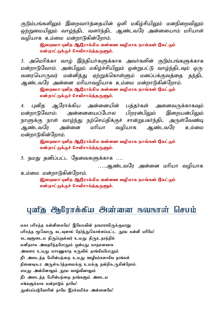குடும்பங்களிலும் இறைவார்க்கையின் ஒளி மகிழ்சியிலும் மனநிறைவிலும் றை்றுமையிலும் வாம்ந்கிட வளர்ந்கிட ஆண்டவரே அன்னயைாம் மரியாள் வமியாக உம்மை மன்றாடுகின்றோம்.

> திறைவா! பனிக ஆரோக்கிய அன்னை வமியாக நாங்கள் கேட்கம் மன்றாட்டுக்குச் செவிசாய்த்தருளும்.

3. அமெரிக்கா வாழ் இந்தியர்களுக்காக அவர்களின் குடும்பங்களுக்காக மன்றாடுவோம். அன்பிலும் மகிழ்ச்சியிலும் ஒன்றுபட்டு வாழ்ந்திடவும் ஒரு-வரையொருவர் மன்னித்து ஏற்றுக்கொள்ளும் மனப்பக்குவக்கை கந்திட ஆண்டவரே அன்னை மரியாவழியாக உம்மை மன்றாடுகின்றோம்.

> தெறைவா! புனித ஆரோக்கிய அன்னை வழியாக நாங்கள் கேட்கும் மன்றாட்டுக்குச் செவிசாய்த்தருளும்.

4. புனித ஆரோக்கிய அன்னையின் பத்தர்கள் அனைவருக்காகவும்<br>மன்றாடுவோம்: அன்னையைப்போல பிறான்பிலம் இறையன்பிலம் மன்றாடுவோம்: அன்னையைப்போல பிறரன்பிலும் இறையன்பிலும் நாளுக்கு நாள் வாழ்ந்து நற்செய்திக்குச் சான்றுபகர்ந்திட அருள்வேண்டி ஆண்டவரே அன்னை மரியா வழியாக ஆண்டவரே உம்மை மன்றாடுகின்றோம்.

> தெறைவா! புனித ஆரோக்கிய அன்னை வழியாக நாங்கள் கேட்கும் மன்றாட்டுக்குச் செவிசாய்த்தருளும்.

5. நமது தனிப்பட்ட தேவைகளுக்காக ….

 $\ldots$ ஆண்டவரே அன்னை மரியா வமியாக

உம்மை மன்றாடுகின்றோம்.

தெறைவா! புனித ஆரோக்கிய அன்னை வழியாக நாங்கள் கேட்கும் மன்றாட்டுக்குச் செவிசாய்த்தருளும்.

# uaf<del>u</del> Orlinträfu Oratanan naunnat Grum

மகா பரிசுத்த கன்னிகையே! இயேசுவின் தாயாராயிருக்குமாறு பரிசுத்த மூவொரு கடவுளால் தேர்ந்துகொள்ளப்பட்ட தூய கன்னி மரியே! கடவுளுடைய திருப்புதல்வர் உமது திருஉதரத்தில் மனிதராக அவதரித்தபோதும் ஒன்பது மாதமளவாக அவரை உமது மாசணுகாத கருவில் தாங்கியபோதும் நீர் அடைந்த பேரின்பத்தை உமது ஊழியர்களாகிய நாங்கள் நினைவகூர அருள்கூர்ந்கமைக்கு உமக்கு நன்றிகூருகின்றோம். எமது அன்பினாலும் தூய வாழ்வினாலும் நீர் அடைந்த பேரின்பத்தை நாங்களும் அடைய எங்களுக்காக மன்றாடும் தாயே! துன்பப்படுவோரின் தாயே இரக்கமிக்க அன்னையே!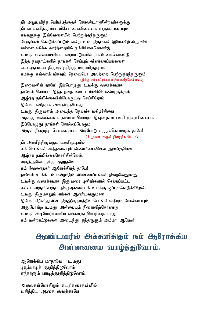நீர் அனுபவித்த பேரின்பத்தைக் கொண்டாடுகின்றவர்களுக்கு நீர் வாக்களித்துள்ள விசேச உதவியையும் பாதுகாப்பையும் எங்களுக்கு இவ்வேளையில் பெற்றுக்கந்கருளும். கேளுங்கள் கொடுக்கப்படும் என்ற உம் திருமகன் இயேசுகிறிஸ்துவின் வல்லமைமிக்க வார்த்தையில் நம்பிக்கைகொண்டு உமது வல்லமைமிக்க மன்றாட்டுகளில் நம்பிக்கைகொண்டு இந்த நவநாட்களில் நாங்கள் செய்யும் விண்ணப்பங்களை கடவுளுடைய திருவுளத்திற்கு மாறாயிருந்தால் எமக்கு எவ்வரம் மிகவும் தேவையோ அவற்றை பெற்றுத்தந்தருளும். (இங்கு மன்றாட்டுக்களை நினைவிற்கொள்ளவும்) இறைவனின் தாயே! இப்பொழுது உமக்கு வணக்கமாக நாங்கள் செய்யும் இந்த நவநாளை உம்மில்கொண்டிருக்கும் ஆழ்ந்த நம்பிக்கையின்பொருட்டு செய்கிறோம். இயேசு மனிதராக அவதரித்தபோது உமது திருவளம் அடைந்த தெய்வீக மகிழ்ச்சியை அகற்கு வணக்கமாக நாங்கள் செய்யம் இந்நவநாள் பக்கி முயற்சியையம் இப்பொமுகு நாங்கள் சொல்லப்போகும் அருள் நிறைந்த செபத்தையும் அன்போடு ஏற்றுக்கொள்ளும் தாயே! (9 முறை அருள் நிறைந்த செபம்) நீா் அணிந்திருக்கும் மணிமுடியில் எம் செபங்கள் அத்தனையும் விண்மீண்களென துலங்குமென ஆழ்ந்த நம்பிக்கைகொள்கின்றென். வருந்துவோருக்கு ஆறுதலே! எம் வேளைநகர் ஆரோக்கியத் தாயே! நாங்கள் உம்மிடம் மன்றாடும் விண்ணப்பங்கள் நிறைவேறுமாறு உமக்கு வணக்கமாக இதுவரை புனிதர்களால் செய்யப்பட்ட எல்லா அரும்பெரும் நிகம்வகளையம் உமக்கு வப்பக்கொடுக்கிறேன். உமது திருமகனும் எங்கள் ஆண்டவருமான இயேசு கிறிஸ்துவின் திருஇருதயத்தில் பொங்கி வழியும் பேரன்பையும் அதுபோன்ற உமது அன்பையும் நினைவிற்கொண்டு உமது அடியோர்களாகிய எங்களது செபத்தை ஏற்று எம் மன்றாட்டுகளை அடைந்து தந்தருளும் அம்மா. ஆமென்.

# அண்டவரில் அக்களிக்கும் நம் அரிராக்கிய அன்னையை வாழ்த்துவோம்.

ஆரோக்கிய மாகாவே —உமகு புகழ்பாடித் துதித்திடுவோம் எந்நாளும் பாடித்துதித்திடுவோம்.

அலைகள்மோகிடும் கடற்கரைகன்னில் வசிக்கிட அசை வைக்காயே